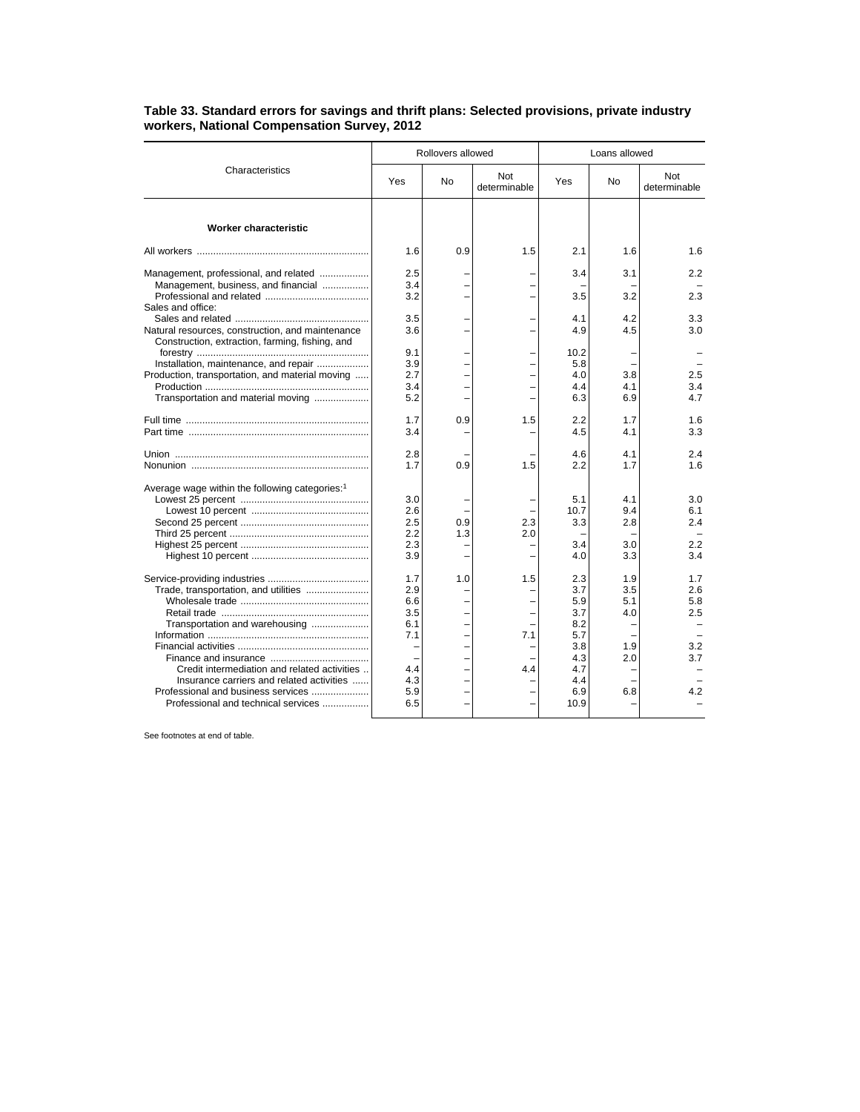| Characteristics                                                                                                                                                                                                                                  | Rollovers allowed                                                  |            |                     | Loans allowed                                                                     |                                               |                                               |
|--------------------------------------------------------------------------------------------------------------------------------------------------------------------------------------------------------------------------------------------------|--------------------------------------------------------------------|------------|---------------------|-----------------------------------------------------------------------------------|-----------------------------------------------|-----------------------------------------------|
|                                                                                                                                                                                                                                                  | Yes                                                                | No         | Not<br>determinable | Yes                                                                               | No                                            | <b>Not</b><br>determinable                    |
| Worker characteristic                                                                                                                                                                                                                            |                                                                    |            |                     |                                                                                   |                                               |                                               |
|                                                                                                                                                                                                                                                  | 1.6                                                                | 0.9        | 1.5                 | 2.1                                                                               | 1.6                                           | 1.6                                           |
| Management, professional, and related<br>Management, business, and financial<br>Sales and office:                                                                                                                                                | 2.5<br>3.4<br>3.2                                                  |            |                     | 3.4<br>3.5                                                                        | 3.1<br>3.2                                    | 2.2<br>2.3                                    |
| Natural resources, construction, and maintenance<br>Construction, extraction, farming, fishing, and                                                                                                                                              | 3.5<br>3.6                                                         |            |                     | 4.1<br>4.9                                                                        | 4.2<br>4.5                                    | 3.3 <sub>1</sub><br>3.0                       |
| Installation, maintenance, and repair<br>Production, transportation, and material moving<br>Transportation and material moving                                                                                                                   | 9.1<br>3.9<br>2.7<br>3.4<br>5.2                                    |            |                     | 10.2<br>5.8<br>4.0<br>4.4<br>6.3                                                  | 3.8<br>4.1<br>6.9                             | 2.5<br>3.4<br>4.7                             |
|                                                                                                                                                                                                                                                  | 1.7<br>3.4                                                         | 0.9        | 1.5                 | 2.2<br>4.5                                                                        | 1.7<br>4.1                                    | 1.6<br>3.3                                    |
|                                                                                                                                                                                                                                                  | 2.8<br>1.7                                                         | 0.9        | 1.5                 | 4.6<br>2.2                                                                        | 4.1<br>1.7                                    | 2.4<br>1.6                                    |
| Average wage within the following categories: <sup>1</sup>                                                                                                                                                                                       | 3.0<br>2.6<br>2.5<br>2.2<br>2.3<br>3.9                             | 0.9<br>1.3 | 2.3<br>2.0          | 5.1<br>10.7<br>3.3<br>3.4<br>4.0                                                  | 4.1<br>9.4<br>2.8<br>3.0<br>3.3               | 3.0<br>6.1<br>2.4<br>2.2<br>3.4               |
| Trade, transportation, and utilities<br>Transportation and warehousing<br>Credit intermediation and related activities<br>Insurance carriers and related activities<br>Professional and business services<br>Professional and technical services | 1.7<br>2.9<br>6.6<br>3.5<br>6.1<br>7.1<br>4.4<br>4.3<br>5.9<br>6.5 | 1.0        | 1.5<br>7.1<br>4.4   | 2.3<br>3.7<br>5.9<br>3.7<br>8.2<br>5.7<br>3.8<br>4.3<br>4.7<br>4.4<br>6.9<br>10.9 | 1.9<br>3.5<br>5.1<br>4.0<br>1.9<br>2.0<br>6.8 | 1.7<br>2.6<br>5.8<br>2.5<br>3.2<br>3.7<br>4.2 |

## **Table 33. Standard errors for savings and thrift plans: Selected provisions, private industry workers, National Compensation Survey, 2012**

See footnotes at end of table.